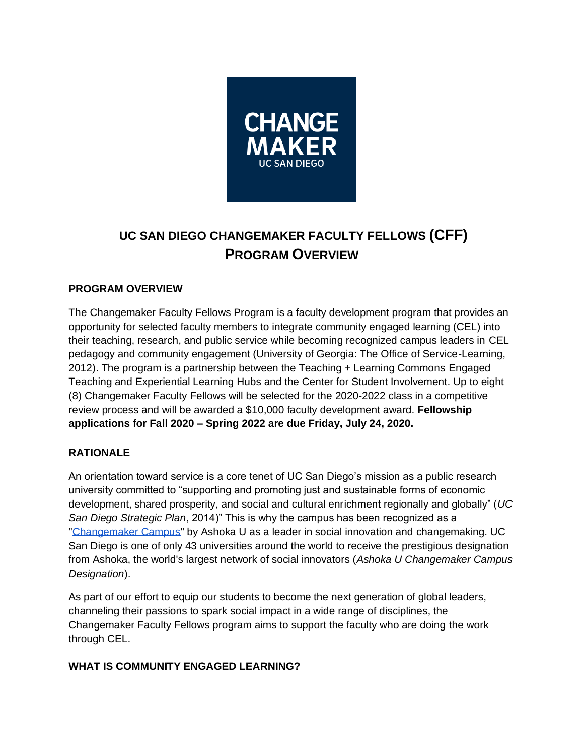

# **UC SAN DIEGO CHANGEMAKER FACULTY FELLOWS (CFF) PROGRAM OVERVIEW**

# **PROGRAM OVERVIEW**

The Changemaker Faculty Fellows Program is a faculty development program that provides an opportunity for selected faculty members to integrate community engaged learning (CEL) into their teaching, research, and public service while becoming recognized campus leaders in CEL pedagogy and community engagement (University of Georgia: The Office of Service-Learning, 2012). The program is a partnership between the Teaching + Learning Commons Engaged Teaching and Experiential Learning Hubs and the Center for Student Involvement. Up to eight (8) Changemaker Faculty Fellows will be selected for the 2020-2022 class in a competitive review process and will be awarded a \$10,000 faculty development award. **Fellowship applications for Fall 2020 – Spring 2022 are due Friday, July 24, 2020.**

# **RATIONALE**

An orientation toward service is a core tenet of UC San Diego's mission as a public research university committed to "supporting and promoting just and sustainable forms of economic development, shared prosperity, and social and cultural enrichment regionally and globally" (*UC San Diego Strategic Plan*, 2014)" This is why the campus has been recognized as a ["Changemaker Campus"](https://changemaker.ucsd.edu/) by Ashoka U as a leader in social innovation and changemaking. UC San Diego is one of only 43 universities around the world to receive the prestigious designation from Ashoka, the world's largest network of social innovators (*Ashoka U Changemaker Campus Designation*).

As part of our effort to equip our students to become the next generation of global leaders, channeling their passions to spark social impact in a wide range of disciplines, the Changemaker Faculty Fellows program aims to support the faculty who are doing the work through CEL.

# **WHAT IS COMMUNITY ENGAGED LEARNING?**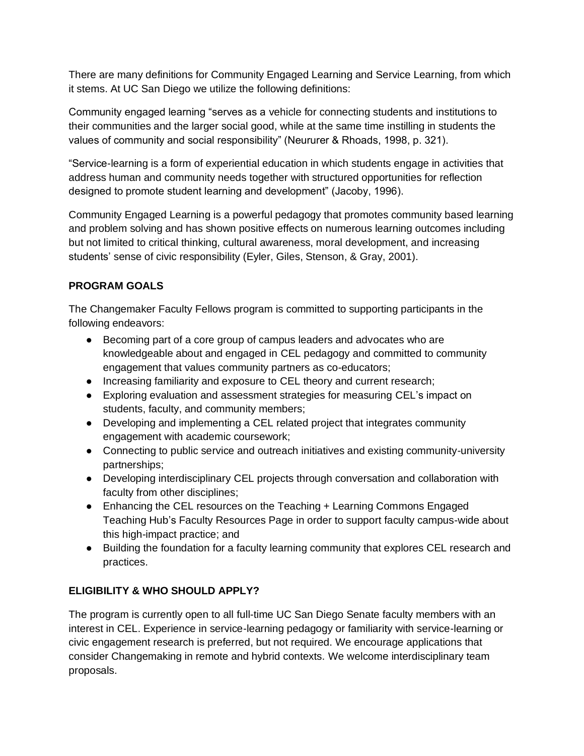There are many definitions for Community Engaged Learning and Service Learning, from which it stems. At UC San Diego we utilize the following definitions:

Community engaged learning "serves as a vehicle for connecting students and institutions to their communities and the larger social good, while at the same time instilling in students the values of community and social responsibility" (Neururer & Rhoads, 1998, p. 321).

"Service-learning is a form of experiential education in which students engage in activities that address human and community needs together with structured opportunities for reflection designed to promote student learning and development" (Jacoby, 1996).

Community Engaged Learning is a powerful pedagogy that promotes community based learning and problem solving and has shown positive effects on numerous learning outcomes including but not limited to critical thinking, cultural awareness, moral development, and increasing students' sense of civic responsibility (Eyler, Giles, Stenson, & Gray, 2001).

# **PROGRAM GOALS**

The Changemaker Faculty Fellows program is committed to supporting participants in the following endeavors:

- Becoming part of a core group of campus leaders and advocates who are knowledgeable about and engaged in CEL pedagogy and committed to community engagement that values community partners as co-educators;
- Increasing familiarity and exposure to CEL theory and current research;
- Exploring evaluation and assessment strategies for measuring CEL's impact on students, faculty, and community members;
- Developing and implementing a CEL related project that integrates community engagement with academic coursework;
- Connecting to public service and outreach initiatives and existing community-university partnerships;
- Developing interdisciplinary CEL projects through conversation and collaboration with faculty from other disciplines;
- Enhancing the CEL resources on the Teaching + Learning Commons Engaged Teaching Hub's Faculty Resources Page in order to support faculty campus-wide about this high-impact practice; and
- Building the foundation for a faculty learning community that explores CEL research and practices.

# **ELIGIBILITY & WHO SHOULD APPLY?**

The program is currently open to all full-time UC San Diego Senate faculty members with an interest in CEL. Experience in service-learning pedagogy or familiarity with service-learning or civic engagement research is preferred, but not required. We encourage applications that consider Changemaking in remote and hybrid contexts. We welcome interdisciplinary team proposals.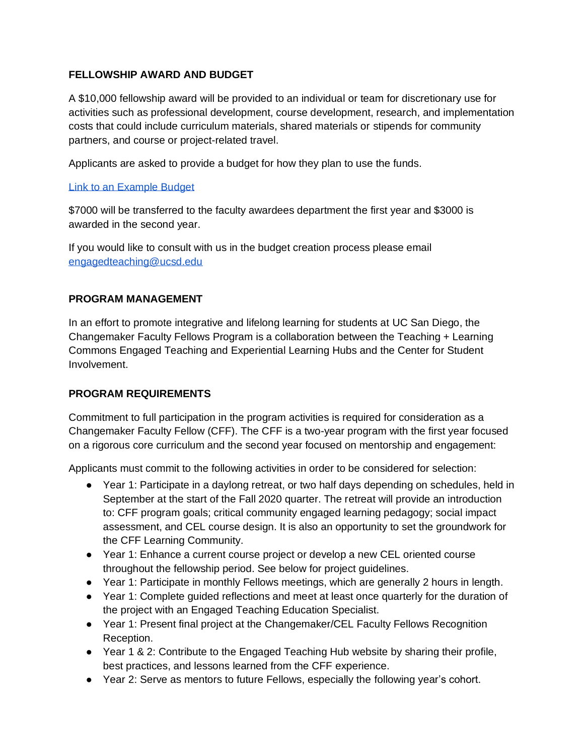#### **FELLOWSHIP AWARD AND BUDGET**

A \$10,000 fellowship award will be provided to an individual or team for discretionary use for activities such as professional development, course development, research, and implementation costs that could include curriculum materials, shared materials or stipends for community partners, and course or project-related travel.

Applicants are asked to provide a budget for how they plan to use the funds.

#### [Link to an Example Budget](https://docs.google.com/spreadsheets/d/1iI5A59jhztnQC5HjQgz9H_aJ9bj_7iraUI0CywxKWlw/edit#gid=0)

\$7000 will be transferred to the faculty awardees department the first year and \$3000 is awarded in the second year.

If you would like to consult with us in the budget creation process please email [engagedteaching@ucsd.edu](mailto:engagedteaching@ucsd.edu)

#### **PROGRAM MANAGEMENT**

In an effort to promote integrative and lifelong learning for students at UC San Diego, the Changemaker Faculty Fellows Program is a collaboration between the Teaching + Learning Commons Engaged Teaching and Experiential Learning Hubs and the Center for Student Involvement.

# **PROGRAM REQUIREMENTS**

Commitment to full participation in the program activities is required for consideration as a Changemaker Faculty Fellow (CFF). The CFF is a two-year program with the first year focused on a rigorous core curriculum and the second year focused on mentorship and engagement:

Applicants must commit to the following activities in order to be considered for selection:

- Year 1: Participate in a daylong retreat, or two half days depending on schedules, held in September at the start of the Fall 2020 quarter. The retreat will provide an introduction to: CFF program goals; critical community engaged learning pedagogy; social impact assessment, and CEL course design. It is also an opportunity to set the groundwork for the CFF Learning Community.
- Year 1: Enhance a current course project or develop a new CEL oriented course throughout the fellowship period. See below for project guidelines.
- Year 1: Participate in monthly Fellows meetings, which are generally 2 hours in length.
- Year 1: Complete guided reflections and meet at least once quarterly for the duration of the project with an Engaged Teaching Education Specialist.
- Year 1: Present final project at the Changemaker/CEL Faculty Fellows Recognition Reception.
- Year 1 & 2: Contribute to the Engaged Teaching Hub website by sharing their profile, best practices, and lessons learned from the CFF experience.
- Year 2: Serve as mentors to future Fellows, especially the following year's cohort.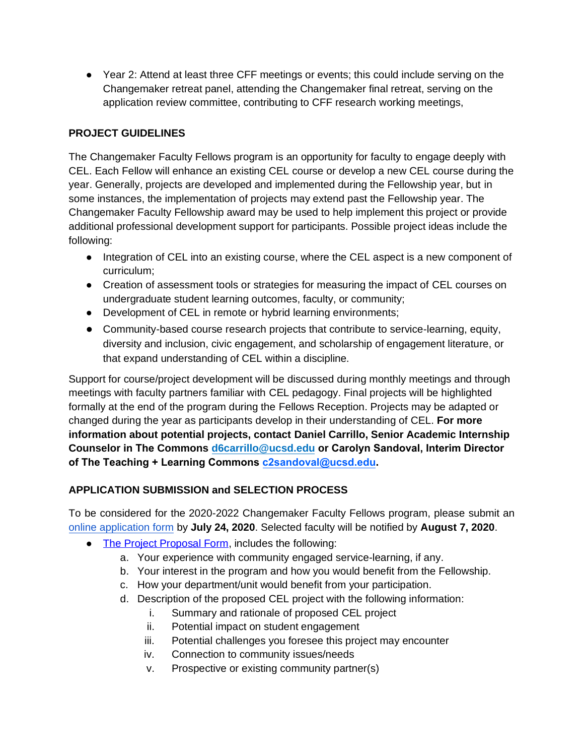● Year 2: Attend at least three CFF meetings or events; this could include serving on the Changemaker retreat panel, attending the Changemaker final retreat, serving on the application review committee, contributing to CFF research working meetings,

# **PROJECT GUIDELINES**

The Changemaker Faculty Fellows program is an opportunity for faculty to engage deeply with CEL. Each Fellow will enhance an existing CEL course or develop a new CEL course during the year. Generally, projects are developed and implemented during the Fellowship year, but in some instances, the implementation of projects may extend past the Fellowship year. The Changemaker Faculty Fellowship award may be used to help implement this project or provide additional professional development support for participants. Possible project ideas include the following:

- Integration of CEL into an existing course, where the CEL aspect is a new component of curriculum;
- Creation of assessment tools or strategies for measuring the impact of CEL courses on undergraduate student learning outcomes, faculty, or community;
- Development of CEL in remote or hybrid learning environments;
- Community-based course research projects that contribute to service-learning, equity, diversity and inclusion, civic engagement, and scholarship of engagement literature, or that expand understanding of CEL within a discipline.

Support for course/project development will be discussed during monthly meetings and through meetings with faculty partners familiar with CEL pedagogy. Final projects will be highlighted formally at the end of the program during the Fellows Reception. Projects may be adapted or changed during the year as participants develop in their understanding of CEL. **For more information about potential projects, contact Daniel Carrillo, Senior Academic Internship Counselor in The Commo[ns d6carrillo@ucsd.ed](mailto:d6carrillo@ucsd.edu)u or Carolyn Sandoval, Interim Director of The Teaching + Learning Comm[ons c2sandoval@ucsd.ed](mailto:c2sandoval@ucsd.edu)u.** 

# **APPLICATION SUBMISSION and SELECTION PROCESS**

To be considered for the 2020-2022 Changemaker Faculty Fellows program, please submit an [online application form](https://docs.google.com/forms/d/e/1FAIpQLSexlNTR_wnTQX3JvuRrp988Pc1YcVkDnahflaN7TFVXFEVwTQ/viewform?usp=sf_link) by **July 24, 2020**. Selected faculty will be notified by **August 7, 2020**.

- [The Project Proposal Form,](https://docs.google.com/forms/d/e/1FAIpQLSexlNTR_wnTQX3JvuRrp988Pc1YcVkDnahflaN7TFVXFEVwTQ/viewform?usp=sf_link) includes the following:
	- a. Your experience with community engaged service-learning, if any.
	- b. Your interest in the program and how you would benefit from the Fellowship.
	- c. How your department/unit would benefit from your participation.
	- d. Description of the proposed CEL project with the following information:
		- i. Summary and rationale of proposed CEL project
		- ii. Potential impact on student engagement
		- iii. Potential challenges you foresee this project may encounter
		- iv. Connection to community issues/needs
		- v. Prospective or existing community partner(s)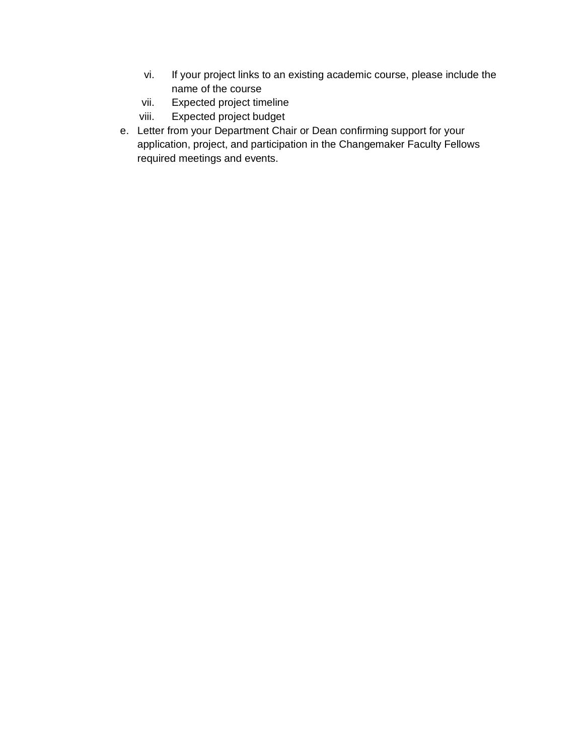- vi. If your project links to an existing academic course, please include the name of the course
- vii. Expected project timeline
- viii. Expected project budget
- e. Letter from your Department Chair or Dean confirming support for your application, project, and participation in the Changemaker Faculty Fellows required meetings and events.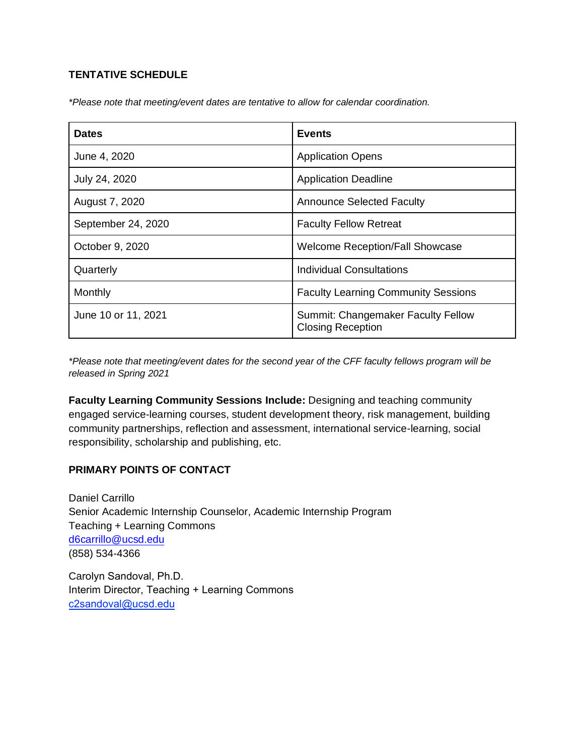#### **TENTATIVE SCHEDULE**

*\*Please note that meeting/event dates are tentative to allow for calendar coordination.*

| <b>Dates</b>        | <b>Events</b>                                                  |
|---------------------|----------------------------------------------------------------|
| June 4, 2020        | <b>Application Opens</b>                                       |
| July 24, 2020       | <b>Application Deadline</b>                                    |
| August 7, 2020      | <b>Announce Selected Faculty</b>                               |
| September 24, 2020  | <b>Faculty Fellow Retreat</b>                                  |
| October 9, 2020     | <b>Welcome Reception/Fall Showcase</b>                         |
| Quarterly           | Individual Consultations                                       |
| Monthly             | <b>Faculty Learning Community Sessions</b>                     |
| June 10 or 11, 2021 | Summit: Changemaker Faculty Fellow<br><b>Closing Reception</b> |

*\*Please note that meeting/event dates for the second year of the CFF faculty fellows program will be released in Spring 2021*

**Faculty Learning Community Sessions Include:** Designing and teaching community engaged service-learning courses, student development theory, risk management, building community partnerships, reflection and assessment, international service-learning, social responsibility, scholarship and publishing, etc.

# **PRIMARY POINTS OF CONTACT**

Daniel Carrillo Senior Academic Internship Counselor, Academic Internship Program Teaching + Learning Commons [d6carrillo@ucsd.edu](mailto:d6carrillo@ucsd.edu) (858) 534-4366

Carolyn Sandoval, Ph.D. Interim Director, Teaching + Learning Commons c2sandoval@ucsd.edu